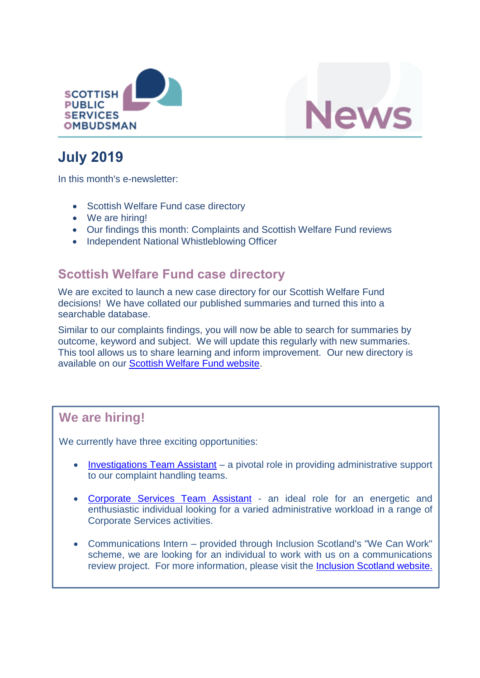



# **July 2019**

In this month's e-newsletter:

- Scottish Welfare Fund case directory
- We are hiring!
- Our findings this month: Complaints and Scottish Welfare Fund reviews
- Independent National Whistleblowing Officer

### **Scottish Welfare Fund case directory**

We are excited to launch a new case directory for our Scottish Welfare Fund decisions! We have collated our published summaries and turned this into a searchable database.

Similar to our complaints findings, you will now be able to search for summaries by outcome, keyword and subject. We will update this regularly with new summaries. This tool allows us to share learning and inform improvement. Our new directory is available on our [Scottish Welfare Fund website.](https://www.spso.org.uk/scottishwelfarefund/case-summaries)

### **We are hiring!**

We currently have three exciting opportunities:

- [Investigations Team Assistant](https://www.spso.org.uk/vacancy-investigations-team-assistant) a pivotal role in providing administrative support to our complaint handling teams.
- [Corporate Services Team Assistant](https://www.spso.org.uk/vacancy-corporate-services-team-assistant) an ideal role for an energetic and enthusiastic individual looking for a varied administrative workload in a range of Corporate Services activities.
- Communications Intern provided through Inclusion Scotland's "We Can Work" scheme, we are looking for an individual to work with us on a communications review project. For more information, please visit the [Inclusion Scotland website.](http://inclusionscotland.org/spso-intern/)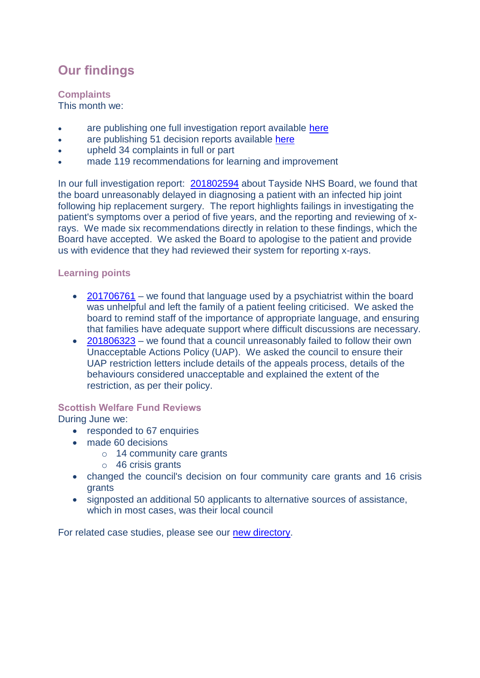## **Our findings**

#### **Complaints**

This month we:

- are publishing one full investigation report available [here](https://www.spso.org.uk/investigation-reports/2019/july/tayside-nhs-board)
- are publishing 51 decision reports available [here](https://www.spso.org.uk/our-findings)
- upheld 34 complaints in full or part
- made 119 recommendations for learning and improvement

In our full investigation report: [201802594](https://www.spso.org.uk/investigation-reports/2019/july/tayside-nhs-board) about Tayside NHS Board, we found that the board unreasonably delayed in diagnosing a patient with an infected hip joint following hip replacement surgery. The report highlights failings in investigating the patient's symptoms over a period of five years, and the reporting and reviewing of xrays. We made six recommendations directly in relation to these findings, which the Board have accepted. We asked the Board to apologise to the patient and provide us with evidence that they had reviewed their system for reporting x-rays.

#### **Learning points**

- [201706761](https://www.spso.org.uk/decision-reports/2019/july/decision-report-201706761-201706761) we found that language used by a psychiatrist within the board was unhelpful and left the family of a patient feeling criticised. We asked the board to remind staff of the importance of appropriate language, and ensuring that families have adequate support where difficult discussions are necessary.
- [201806323](https://www.spso.org.uk/decision-reports/2019/july/decision-report-201806323-201806323) we found that a council unreasonably failed to follow their own Unacceptable Actions Policy (UAP). We asked the council to ensure their UAP restriction letters include details of the appeals process, details of the behaviours considered unacceptable and explained the extent of the restriction, as per their policy.

#### **Scottish Welfare Fund Reviews**

During June we:

- responded to 67 enquiries
- made 60 decisions
	- o 14 community care grants
	- o 46 crisis grants
- changed the council's decision on four community care grants and 16 crisis grants
- signposted an additional 50 applicants to alternative sources of assistance, which in most cases, was their local council

For related case studies, please see our [new directory.](https://www.spso.org.uk/scottishwelfarefund/case-summaries)